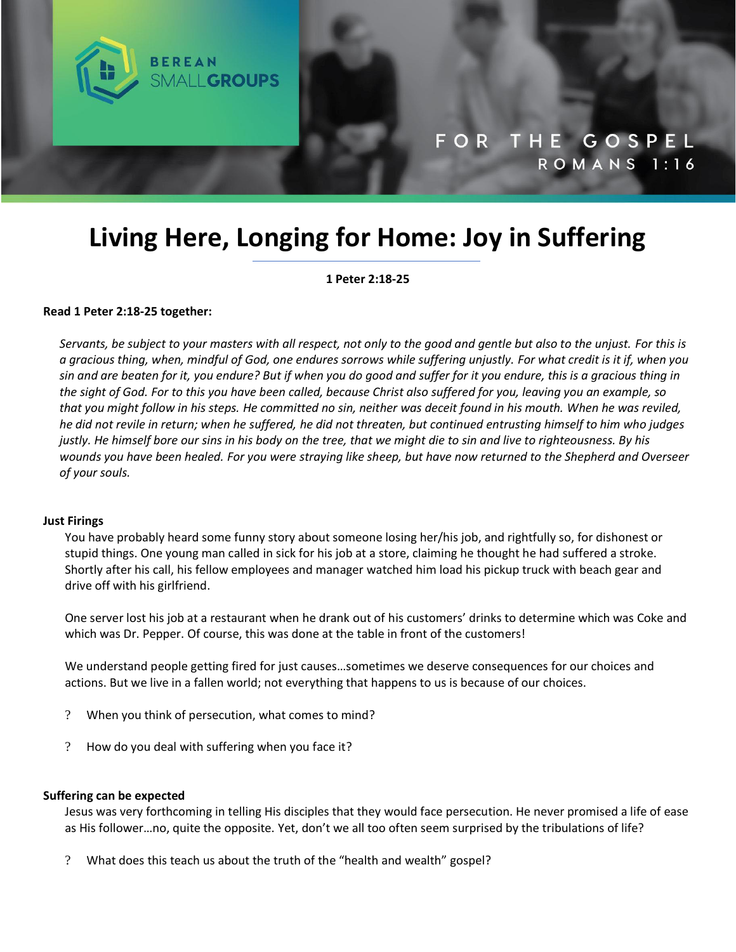

# **Living Here, Longing for Home: Joy in Suffering**

**1 Peter 2:18-25**

#### **Read 1 Peter 2:18-25 together:**

*Servants, be subject to your masters with all respect, not only to the good and gentle but also to the unjust. For this is a gracious thing, when, mindful of God, one endures sorrows while suffering unjustly. For what credit is it if, when you sin and are beaten for it, you endure? But if when you do good and suffer for it you endure, this is a gracious thing in the sight of God. For to this you have been called, because Christ also suffered for you, leaving you an example, so that you might follow in his steps. He committed no sin, neither was deceit found in his mouth. When he was reviled, he did not revile in return; when he suffered, he did not threaten, but continued entrusting himself to him who judges justly. He himself bore our sins in his body on the tree, that we might die to sin and live to righteousness. By his wounds you have been healed. For you were straying like sheep, but have now returned to the Shepherd and Overseer of your souls.*

#### **Just Firings**

You have probably heard some funny story about someone losing her/his job, and rightfully so, for dishonest or stupid things. One young man called in sick for his job at a store, claiming he thought he had suffered a stroke. Shortly after his call, his fellow employees and manager watched him load his pickup truck with beach gear and drive off with his girlfriend.

One server lost his job at a restaurant when he drank out of his customers' drinks to determine which was Coke and which was Dr. Pepper. Of course, this was done at the table in front of the customers!

We understand people getting fired for just causes…sometimes we deserve consequences for our choices and actions. But we live in a fallen world; not everything that happens to us is because of our choices.

- ? When you think of persecution, what comes to mind?
- ? How do you deal with suffering when you face it?

#### **Suffering can be expected**

Jesus was very forthcoming in telling His disciples that they would face persecution. He never promised a life of ease as His follower…no, quite the opposite. Yet, don't we all too often seem surprised by the tribulations of life?

? What does this teach us about the truth of the "health and wealth" gospel?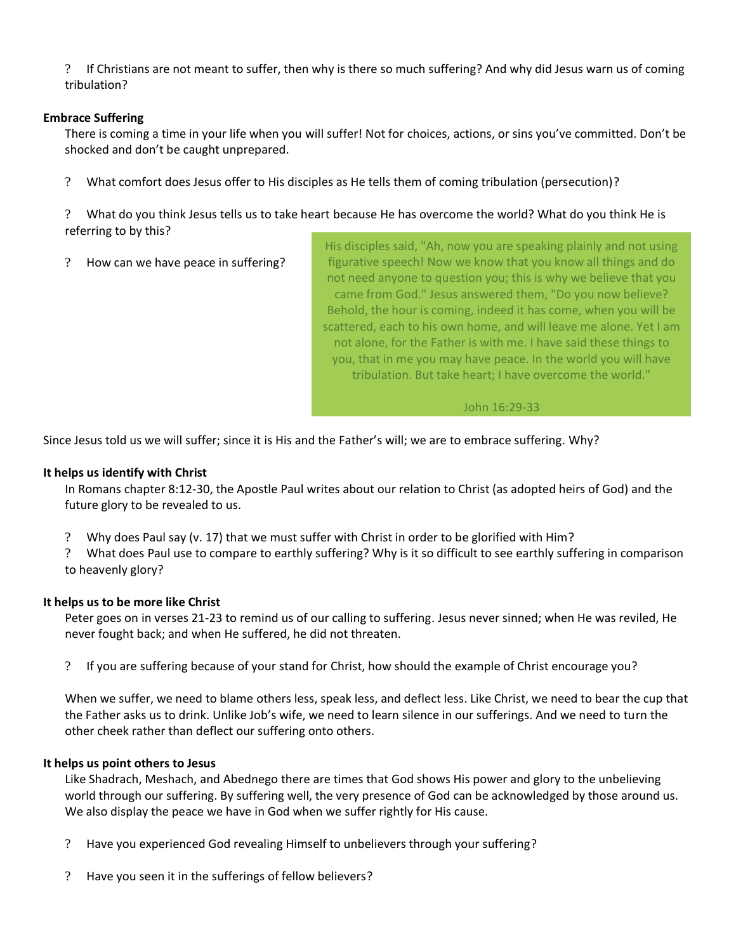? If Christians are not meant to suffer, then why is there so much suffering? And why did Jesus warn us of coming tribulation?

# **Embrace Suffering**

There is coming a time in your life when you will suffer! Not for choices, actions, or sins you've committed. Don't be shocked and don't be caught unprepared.

? What comfort does Jesus offer to His disciples as He tells them of coming tribulation (persecution)?

? What do you think Jesus tells us to take heart because He has overcome the world? What do you think He is referring to by this?

? How can we have peace in suffering?

His disciples said, "Ah, now you are speaking plainly and not using figurative speech! Now we know that you know all things and do not need anyone to question you; this is why we believe that you came from God." Jesus answered them, "Do you now believe? Behold, the hour is coming, indeed it has come, when you will be scattered, each to his own home, and will leave me alone. Yet I am not alone, for the Father is with me. I have said these things to you, that in me you may have peace. In the world you will have tribulation. But take heart; I have overcome the world."

## John 16:29-33

Since Jesus told us we will suffer; since it is His and the Father's will; we are to embrace suffering. Why?

# **It helps us identify with Christ**

In Romans chapter 8:12-30, the Apostle Paul writes about our relation to Christ (as adopted heirs of God) and the future glory to be revealed to us.

? Why does Paul say (v. 17) that we must suffer with Christ in order to be glorified with Him?

? What does Paul use to compare to earthly suffering? Why is it so difficult to see earthly suffering in comparison to heavenly glory?

## **It helps us to be more like Christ**

Peter goes on in verses 21-23 to remind us of our calling to suffering. Jesus never sinned; when He was reviled, He never fought back; and when He suffered, he did not threaten.

? If you are suffering because of your stand for Christ, how should the example of Christ encourage you?

When we suffer, we need to blame others less, speak less, and deflect less. Like Christ, we need to bear the cup that the Father asks us to drink. Unlike Job's wife, we need to learn silence in our sufferings. And we need to turn the other cheek rather than deflect our suffering onto others.

## **It helps us point others to Jesus**

Like Shadrach, Meshach, and Abednego there are times that God shows His power and glory to the unbelieving world through our suffering. By suffering well, the very presence of God can be acknowledged by those around us. We also display the peace we have in God when we suffer rightly for His cause.

- ? Have you experienced God revealing Himself to unbelievers through your suffering?
- ? Have you seen it in the sufferings of fellow believers?